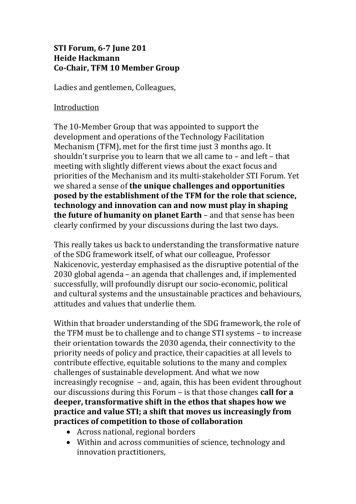## **STI Forum, 6-7 June 201 Heide Hackmann Co-Chair, TFM 10 Member Group**

Ladies and gentlemen, Colleagues,

## Introduction

The 10-Member Group that was appointed to support the development and operations of the Technology Facilitation Mechanism (TFM), met for the first time just 3 months ago. It shouldn't surprise you to learn that we all came to – and left – that meeting with slightly different views about the exact focus and priorities of the Mechanism and its multi-stakeholder STI Forum. Yet we shared a sense of **the unique challenges and opportunities posed by the establishment of the TFM for the role that science, technology and innovation can and now must play in shaping the future of humanity on planet Earth** – and that sense has been clearly confirmed by your discussions during the last two days.

This really takes us back to understanding the transformative nature of the SDG framework itself, of what our colleague, Professor Nakicenovic, yesterday emphasised as the disruptive potential of the 2030 global agenda – an agenda that challenges and, if implemented successfully, will profoundly disrupt our socio-economic, political and cultural systems and the unsustainable practices and behaviours, attitudes and values that underlie them.

Within that broader understanding of the SDG framework, the role of the TFM must be to challenge and to change STI systems – to increase their orientation towards the 2030 agenda, their connectivity to the priority needs of policy and practice, their capacities at all levels to contribute effective, equitable solutions to the many and complex challenges of sustainable development. And what we now increasingly recognise – and, again, this has been evident throughout our discussions during this Forum – is that those changes **call for a deeper, transformative shift in the ethos that shapes how we practice and value STI; a shift that moves us increasingly from practices of competition to those of collaboration**

- Across national, regional borders
- Within and across communities of science, technology and innovation practitioners,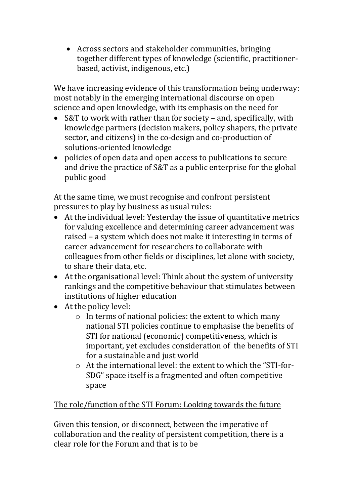Across sectors and stakeholder communities, bringing together different types of knowledge (scientific, practitionerbased, activist, indigenous, etc.)

We have increasing evidence of this transformation being underway: most notably in the emerging international discourse on open science and open knowledge, with its emphasis on the need for

- S&T to work with rather than for society and, specifically, with knowledge partners (decision makers, policy shapers, the private sector, and citizens) in the co-design and co-production of solutions-oriented knowledge
- policies of open data and open access to publications to secure and drive the practice of S&T as a public enterprise for the global public good

At the same time, we must recognise and confront persistent pressures to play by business as usual rules:

- At the individual level: Yesterday the issue of quantitative metrics for valuing excellence and determining career advancement was raised – a system which does not make it interesting in terms of career advancement for researchers to collaborate with colleagues from other fields or disciplines, let alone with society, to share their data, etc.
- At the organisational level: Think about the system of university rankings and the competitive behaviour that stimulates between institutions of higher education
- At the policy level:
	- o In terms of national policies: the extent to which many national STI policies continue to emphasise the benefits of STI for national (economic) competitiveness, which is important, yet excludes consideration of the benefits of STI for a sustainable and just world
	- o At the international level: the extent to which the "STI-for-SDG" space itself is a fragmented and often competitive space

## The role/function of the STI Forum: Looking towards the future

Given this tension, or disconnect, between the imperative of collaboration and the reality of persistent competition, there is a clear role for the Forum and that is to be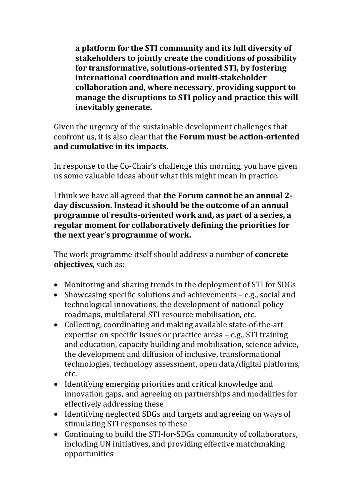**a platform for the STI community and its full diversity of stakeholders to jointly create the conditions of possibility for transformative, solutions-oriented STI, by fostering international coordination and multi-stakeholder collaboration and, where necessary, providing support to manage the disruptions to STI policy and practice this will inevitably generate.**

Given the urgency of the sustainable development challenges that confront us, it is also clear that **the Forum must be action-oriented and cumulative in its impacts.**

In response to the Co-Chair's challenge this morning, you have given us some valuable ideas about what this might mean in practice.

I think we have all agreed that **the Forum cannot be an annual 2 day discussion. Instead it should be the outcome of an annual programme of results-oriented work and, as part of a series, a regular moment for collaboratively defining the priorities for the next year's programme of work.**

The work programme itself should address a number of **concrete objectives**, such as:

- Monitoring and sharing trends in the deployment of STI for SDGs
- Showcasing specific solutions and achievements e.g., social and technological innovations, the development of national policy roadmaps, multilateral STI resource mobilisation, etc.
- Collecting, coordinating and making available state-of-the-art expertise on specific issues or practice areas – e.g., STI training and education, capacity building and mobilisation, science advice, the development and diffusion of inclusive, transformational technologies, technology assessment, open data/digital platforms, etc.
- Identifying emerging priorities and critical knowledge and innovation gaps, and agreeing on partnerships and modalities for effectively addressing these
- Identifying neglected SDGs and targets and agreeing on ways of stimulating STI responses to these
- Continuing to build the STI-for-SDGs community of collaborators, including UN initiatives, and providing effective matchmaking opportunities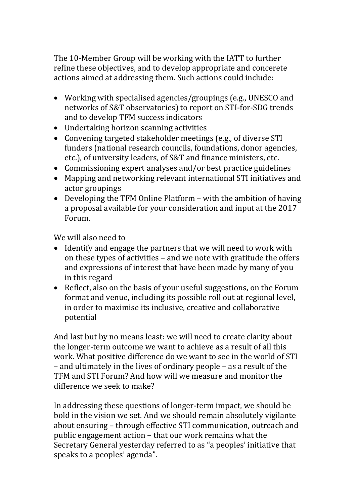The 10-Member Group will be working with the IATT to further refine these objectives, and to develop appropriate and concerete actions aimed at addressing them. Such actions could include:

- Working with specialised agencies/groupings (e.g., UNESCO and networks of S&T observatories) to report on STI-for-SDG trends and to develop TFM success indicators
- Undertaking horizon scanning activities
- Convening targeted stakeholder meetings (e.g., of diverse STI funders (national research councils, foundations, donor agencies, etc.), of university leaders, of S&T and finance ministers, etc.
- Commissioning expert analyses and/or best practice guidelines
- Mapping and networking relevant international STI initiatives and actor groupings
- Developing the TFM Online Platform with the ambition of having a proposal available for your consideration and input at the 2017 Forum.

We will also need to

- Identify and engage the partners that we will need to work with on these types of activities – and we note with gratitude the offers and expressions of interest that have been made by many of you in this regard
- Reflect, also on the basis of your useful suggestions, on the Forum format and venue, including its possible roll out at regional level, in order to maximise its inclusive, creative and collaborative potential

And last but by no means least: we will need to create clarity about the longer-term outcome we want to achieve as a result of all this work. What positive difference do we want to see in the world of STI – and ultimately in the lives of ordinary people – as a result of the TFM and STI Forum? And how will we measure and monitor the difference we seek to make?

In addressing these questions of longer-term impact, we should be bold in the vision we set. And we should remain absolutely vigilante about ensuring – through effective STI communication, outreach and public engagement action – that our work remains what the Secretary General yesterday referred to as "a peoples' initiative that speaks to a peoples' agenda".